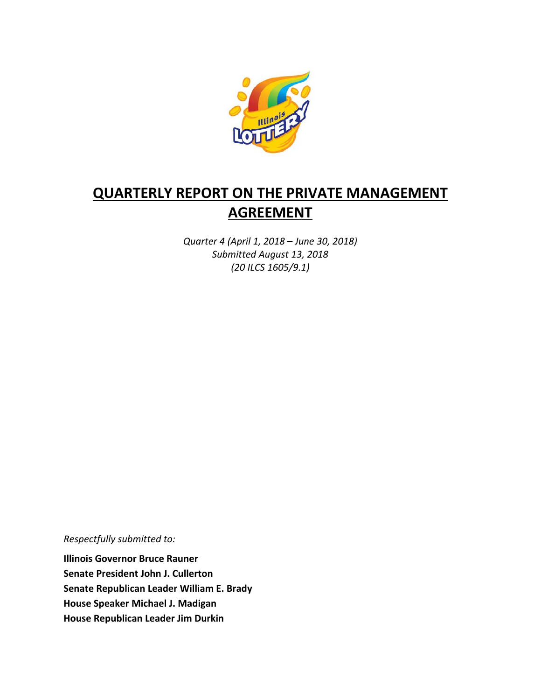

# **QUARTERLY REPORT ON THE PRIVATE MANAGEMENT AGREEMENT**

*Quarter 4 (April 1, 2018 – June 30, 2018) Submitted August 13, 2018 (20 ILCS 1605/9.1)*

*Respectfully submitted to:* 

**Illinois Governor Bruce Rauner Senate President John J. Cullerton Senate Republican Leader William E. Brady House Speaker Michael J. Madigan House Republican Leader Jim Durkin**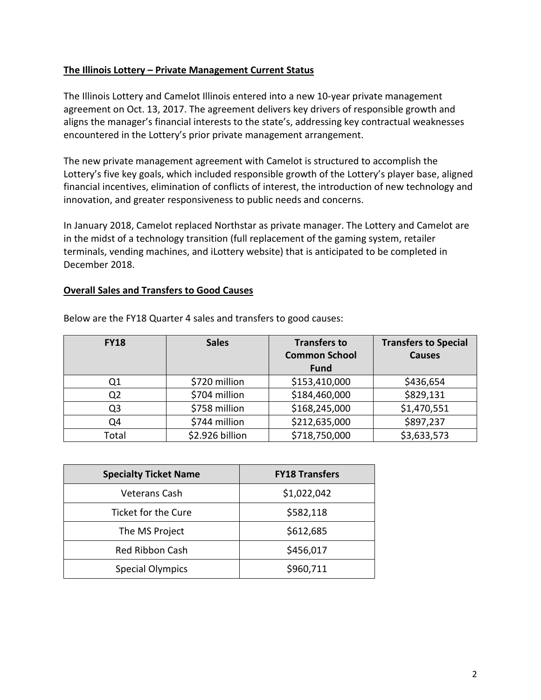### **The Illinois Lottery – Private Management Current Status**

The Illinois Lottery and Camelot Illinois entered into a new 10-year private management agreement on Oct. 13, 2017. The agreement delivers key drivers of responsible growth and aligns the manager's financial interests to the state's, addressing key contractual weaknesses encountered in the Lottery's prior private management arrangement.

The new private management agreement with Camelot is structured to accomplish the Lottery's five key goals, which included responsible growth of the Lottery's player base, aligned financial incentives, elimination of conflicts of interest, the introduction of new technology and innovation, and greater responsiveness to public needs and concerns.

In January 2018, Camelot replaced Northstar as private manager. The Lottery and Camelot are in the midst of a technology transition (full replacement of the gaming system, retailer terminals, vending machines, and iLottery website) that is anticipated to be completed in December 2018.

#### **Overall Sales and Transfers to Good Causes**

| <b>FY18</b> | <b>Sales</b>    | <b>Transfers to</b><br><b>Common School</b> | <b>Transfers to Special</b><br><b>Causes</b> |
|-------------|-----------------|---------------------------------------------|----------------------------------------------|
|             |                 | <b>Fund</b>                                 |                                              |
| Q1          | \$720 million   | \$153,410,000                               | \$436,654                                    |
| Q2          | \$704 million   | \$184,460,000                               | \$829,131                                    |
| Q3          | \$758 million   | \$168,245,000                               | \$1,470,551                                  |
| Q4          | \$744 million   | \$212,635,000                               | \$897,237                                    |
| Total       | \$2.926 billion | \$718,750,000                               | \$3,633,573                                  |

Below are the FY18 Quarter 4 sales and transfers to good causes:

| <b>Specialty Ticket Name</b> | <b>FY18 Transfers</b> |
|------------------------------|-----------------------|
| Veterans Cash                | \$1,022,042           |
| Ticket for the Cure          | \$582,118             |
| The MS Project               | \$612,685             |
| <b>Red Ribbon Cash</b>       | \$456,017             |
| <b>Special Olympics</b>      | \$960,711             |